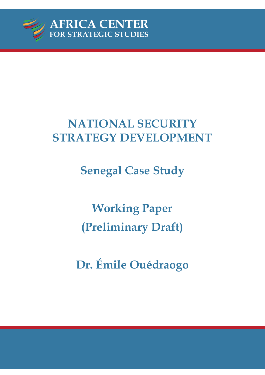

# **NATIONAL SECURITY STRATEGY DEVELOPMENT**

**Senegal Case Study** 

**Working Paper (Preliminary Draft)** 

**Dr. Émile Ouédraogo**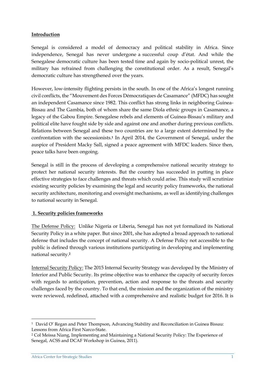# **Introduction**

Senegal is considered a model of democracy and political stability in Africa. Since independence, Senegal has never undergone a successful coup d'état. And while the Senegalese democratic culture has been tested time and again by socio-political unrest, the military has refrained from challenging the constitutional order. As a result, Senegal's democratic culture has strengthened over the years.

However, low-intensity flighting persists in the south. In one of the Africa's longest running civil conflicts, the "Mouvement des Forces Démocratiques de Casamance" (MFDC) has sought an independent Casamance since 1982. This conflict has strong links in neighboring Guinea-Bissau and The Gambia, both of whom share the same Diola ethnic groups in Casamance, a legacy of the Gabou Empire. Senegalese rebels and elements of Guinea-Bissau's military and political elite have fought side by side and against one and another during previous conflicts. Relations between Senegal and these two countries are to a large extent determined by the confrontation with the secessionists.**<sup>1</sup>** In April 2014, the Government of Senegal, under the auspice of President Macky Sall, signed a peace agreement with MFDC leaders. Since then, peace talks have been ongoing.

Senegal is still in the process of developing a comprehensive national security strategy to protect her national security interests. But the country has succeeded in putting in place effective strategies to face challenges and threats which could arise. This study will scrutinize existing security policies by examining the legal and security policy frameworks, the national security architecture, monitoring and oversight mechanisms, as well as identifying challenges to national security in Senegal.

## **1. Security policies frameworks**

The Defense Policy: Unlike Nigeria or Liberia, Senegal has not yet formalized its National Security Policy in a white paper. But since 2001, she has adopted a broad approach to national defense that includes the concept of national security. A Defense Policy not accessible to the public is defined through various institutions participating in developing and implementing national security.**<sup>2</sup>**

Internal Security Policy: The 2015 Internal Security Strategy was developed by the Ministry of Interior and Public Security. Its prime objective was to enhance the capacity of security forces with regards to anticipation, prevention, action and response to the threats and security challenges faced by the country. To that end, the mission and the organization of the ministry were reviewed, redefined, attached with a comprehensive and realistic budget for 2016. It is

<sup>1</sup> David O' Regan and Peter Thompson, Advancing Stability and Reconciliation in Guinea Bissau: Lessons from Africa First Narco-State.

<sup>2</sup> Col Meissa Niang, Implementing and Maintaining a National Security Policy: The Experience of Senegal, ACSS and DCAF Workshop in Guinea, 2011).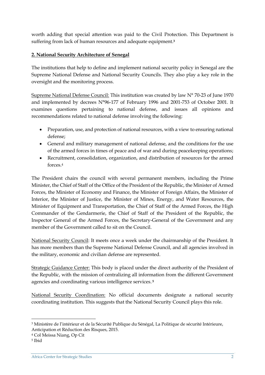worth adding that special attention was paid to the Civil Protection. This Department is suffering from lack of human resources and adequate equipment. **3**

# **2. National Security Architecture of Senegal**

The institutions that help to define and implement national security policy in Senegal are the Supreme National Defense and National Security Councils. They also play a key role in the oversight and the monitoring process.

Supreme National Defense Council: This institution was created by law N° 70-23 of June 1970 and implemented by decrees N°96-177 of February 1996 and 2001-753 of October 2001. It examines questions pertaining to national defense, and issues all opinions and recommendations related to national defense involving the following:

- Preparation, use, and protection of national resources, with a view to ensuring national defense;
- General and military management of national defense, and the conditions for the use of the armed forces in times of peace and of war and during peacekeeping operations;
- Recruitment, consolidation, organization, and distribution of resources for the armed forces 4

The President chairs the council with several permanent members, including the Prime Minister, the Chief of Staff of the Office of the President of the Republic, the Minister of Armed Forces, the Minister of Economy and Finance, the Minister of Foreign Affairs, the Minister of Interior, the Minister of Justice, the Minister of Mines, Energy, and Water Resources, the Minister of Equipment and Transportation, the Chief of Staff of the Armed Forces, the High Commander of the Gendarmerie, the Chief of Staff of the President of the Republic, the Inspector General of the Armed Forces, the Secretary-General of the Government and any member of the Government called to sit on the Council.

National Security Council: It meets once a week under the chairmanship of the President. It has more members than the Supreme National Defense Council, and all agencies involved in the military, economic and civilian defense are represented.

Strategic Guidance Center: This body is placed under the direct authority of the President of the Republic, with the mission of centralizing all information from the different Government agencies and coordinating various intelligence services. **<sup>5</sup>**

National Security Coordination: No official documents designate a national security coordinating institution. This suggests that the National Security Council plays this role.

**.** 

<sup>3</sup> Ministère de l'intérieur et de la Sécurité Publique du Sénégal, La Politique de sécurité Intérieure, Anticipation et Réduction des Risques, 2015.

<sup>4</sup> Col Meissa Niang, Op Cit

<sup>5</sup> Ibid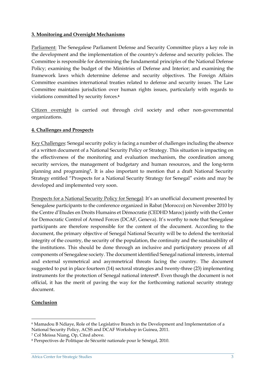#### **3. Monitoring and Oversight Mechanisms**

Parliament: The Senegalese Parliament Defense and Security Committee plays a key role in the development and the implementation of the country's defense and security policies. The Committee is responsible for determining the fundamental principles of the National Defense Policy; examining the budget of the Ministries of Defense and Interior; and examining the framework laws which determine defense and security objectives. The Foreign Affairs Committee examines international treaties related to defense and security issues. The Law Committee maintains jurisdiction over human rights issues, particularly with regards to violations committed by security forces.**<sup>6</sup>**

Citizen oversight is carried out through civil society and other non-governmental organizations.

## **4. Challenges and Prospects**

Key Challenges: Senegal security policy is facing a number of challenges including the absence of a written document of a National Security Policy or Strategy. This situation is impacting on the effectiveness of the monitoring and evaluation mechanism, the coordination among security services, the management of budgetary and human resources, and the long-term planning and programing**7.** It is also important to mention that a draft National Security Strategy entitled "Prospects for a National Security Strategy for Senegal" exists and may be developed and implemented very soon.

Prospects for a National Security Policy for Senegal: It's an unofficial document presented by Senegalese participants to the conference organized in Rabat (Morocco) on November 2010 by the Centre d'Etudes en Droits Humains et Démocratie (CEDHD Maroc) jointly with the Center for Democratic Control of Armed Forces (DCAF, Geneva). It's worthy to note that Senegalese participants are therefore responsible for the content of the document. According to the document, the primary objective of Senegal National Security will be to defend the territorial integrity of the country, the security of the population, the continuity and the sustainability of the institutions. This should be done through an inclusive and participatory process of all components of Senegalese society. The document identified Senegal national interests, internal and external symmetrical and asymmetrical threats facing the country. The document suggested to put in place fourteen (14) sectoral strategies and twenty-three (23) implementing instruments for the protection of Senegal national interest**8**. Even though the document is not official, it has the merit of paving the way for the forthcoming national security strategy document.

## **Conclusion**

**.** 

<sup>6</sup> Mamadou B Ndiaye, Role of the Legislative Branch in the Development and Implementation of a National Security Policy, ACSS and DCAF Workshop in Guinea, 2011.

<sup>7</sup> Col Meissa Niang, Op, Cited above.

<sup>8</sup> Perspectives de Politique de Sécurité nationale pour le Sénégal, 2010.